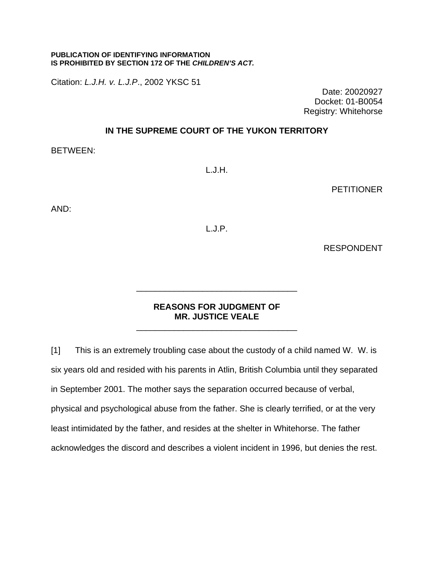## **PUBLICATION OF IDENTIFYING INFORMATION IS PROHIBITED BY SECTION 172 OF THE** *CHILDREN'S ACT.*

Citation: *L.J.H. v. L.J.P*., 2002 YKSC 51

Date: 20020927 Docket: 01-B0054 Registry: Whitehorse

## **IN THE SUPREME COURT OF THE YUKON TERRITORY**

BETWEEN:

L.J.H.

**PETITIONER** 

AND:

L.J.P.

RESPONDENT

## **REASONS FOR JUDGMENT OF MR. JUSTICE VEALE** \_\_\_\_\_\_\_\_\_\_\_\_\_\_\_\_\_\_\_\_\_\_\_\_\_\_\_\_\_\_\_\_\_\_

\_\_\_\_\_\_\_\_\_\_\_\_\_\_\_\_\_\_\_\_\_\_\_\_\_\_\_\_\_\_\_\_\_\_

[1] This is an extremely troubling case about the custody of a child named W. W. is six years old and resided with his parents in Atlin, British Columbia until they separated in September 2001. The mother says the separation occurred because of verbal, physical and psychological abuse from the father. She is clearly terrified, or at the very least intimidated by the father, and resides at the shelter in Whitehorse. The father acknowledges the discord and describes a violent incident in 1996, but denies the rest.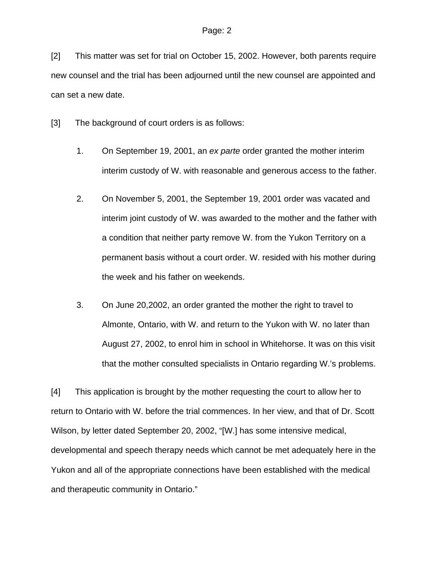[2] This matter was set for trial on October 15, 2002. However, both parents require new counsel and the trial has been adjourned until the new counsel are appointed and can set a new date.

[3] The background of court orders is as follows:

- 1. On September 19, 2001, an *ex parte* order granted the mother interim interim custody of W. with reasonable and generous access to the father.
- 2. On November 5, 2001, the September 19, 2001 order was vacated and interim joint custody of W. was awarded to the mother and the father with a condition that neither party remove W. from the Yukon Territory on a permanent basis without a court order. W. resided with his mother during the week and his father on weekends.
- 3. On June 20,2002, an order granted the mother the right to travel to Almonte, Ontario, with W. and return to the Yukon with W. no later than August 27, 2002, to enrol him in school in Whitehorse. It was on this visit that the mother consulted specialists in Ontario regarding W.'s problems.

[4] This application is brought by the mother requesting the court to allow her to return to Ontario with W. before the trial commences. In her view, and that of Dr. Scott Wilson, by letter dated September 20, 2002, "[W.] has some intensive medical, developmental and speech therapy needs which cannot be met adequately here in the Yukon and all of the appropriate connections have been established with the medical and therapeutic community in Ontario."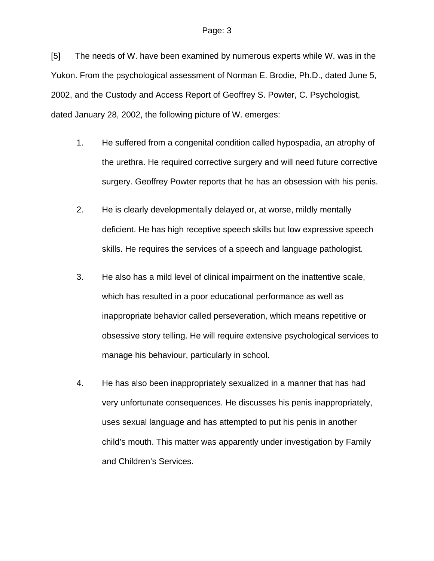[5] The needs of W. have been examined by numerous experts while W. was in the Yukon. From the psychological assessment of Norman E. Brodie, Ph.D., dated June 5, 2002, and the Custody and Access Report of Geoffrey S. Powter, C. Psychologist, dated January 28, 2002, the following picture of W. emerges:

- 1. He suffered from a congenital condition called hypospadia, an atrophy of the urethra. He required corrective surgery and will need future corrective surgery. Geoffrey Powter reports that he has an obsession with his penis.
- 2. He is clearly developmentally delayed or, at worse, mildly mentally deficient. He has high receptive speech skills but low expressive speech skills. He requires the services of a speech and language pathologist.
- 3. He also has a mild level of clinical impairment on the inattentive scale, which has resulted in a poor educational performance as well as inappropriate behavior called perseveration, which means repetitive or obsessive story telling. He will require extensive psychological services to manage his behaviour, particularly in school.
- 4. He has also been inappropriately sexualized in a manner that has had very unfortunate consequences. He discusses his penis inappropriately, uses sexual language and has attempted to put his penis in another child's mouth. This matter was apparently under investigation by Family and Children's Services.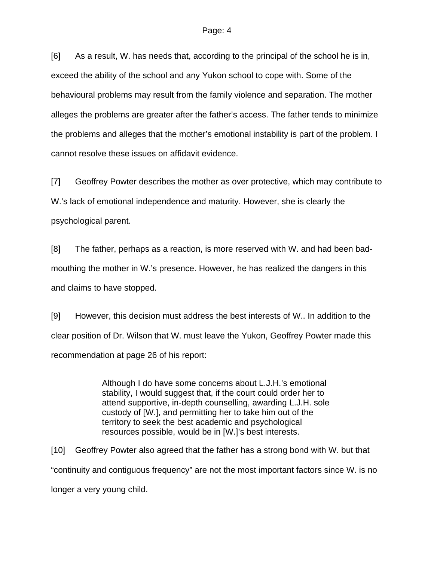[6] As a result, W. has needs that, according to the principal of the school he is in, exceed the ability of the school and any Yukon school to cope with. Some of the behavioural problems may result from the family violence and separation. The mother alleges the problems are greater after the father's access. The father tends to minimize the problems and alleges that the mother's emotional instability is part of the problem. I cannot resolve these issues on affidavit evidence.

[7] Geoffrey Powter describes the mother as over protective, which may contribute to W.'s lack of emotional independence and maturity. However, she is clearly the psychological parent.

[8] The father, perhaps as a reaction, is more reserved with W. and had been badmouthing the mother in W.'s presence. However, he has realized the dangers in this and claims to have stopped.

[9] However, this decision must address the best interests of W.. In addition to the clear position of Dr. Wilson that W. must leave the Yukon, Geoffrey Powter made this recommendation at page 26 of his report:

> Although I do have some concerns about L.J.H.'s emotional stability, I would suggest that, if the court could order her to attend supportive, in-depth counselling, awarding L.J.H. sole custody of [W.], and permitting her to take him out of the territory to seek the best academic and psychological resources possible, would be in [W.]'s best interests.

[10] Geoffrey Powter also agreed that the father has a strong bond with W. but that "continuity and contiguous frequency" are not the most important factors since W. is no longer a very young child.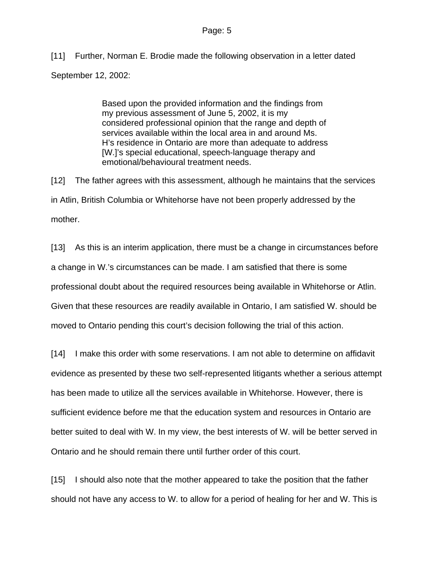[11] Further, Norman E. Brodie made the following observation in a letter dated September 12, 2002:

> Based upon the provided information and the findings from my previous assessment of June 5, 2002, it is my considered professional opinion that the range and depth of services available within the local area in and around Ms. H's residence in Ontario are more than adequate to address [W.]'s special educational, speech-language therapy and emotional/behavioural treatment needs.

[12] The father agrees with this assessment, although he maintains that the services in Atlin, British Columbia or Whitehorse have not been properly addressed by the mother.

[13] As this is an interim application, there must be a change in circumstances before a change in W.'s circumstances can be made. I am satisfied that there is some professional doubt about the required resources being available in Whitehorse or Atlin. Given that these resources are readily available in Ontario, I am satisfied W. should be moved to Ontario pending this court's decision following the trial of this action.

[14] I make this order with some reservations. I am not able to determine on affidavit evidence as presented by these two self-represented litigants whether a serious attempt has been made to utilize all the services available in Whitehorse. However, there is sufficient evidence before me that the education system and resources in Ontario are better suited to deal with W. In my view, the best interests of W. will be better served in Ontario and he should remain there until further order of this court.

[15] I should also note that the mother appeared to take the position that the father should not have any access to W. to allow for a period of healing for her and W. This is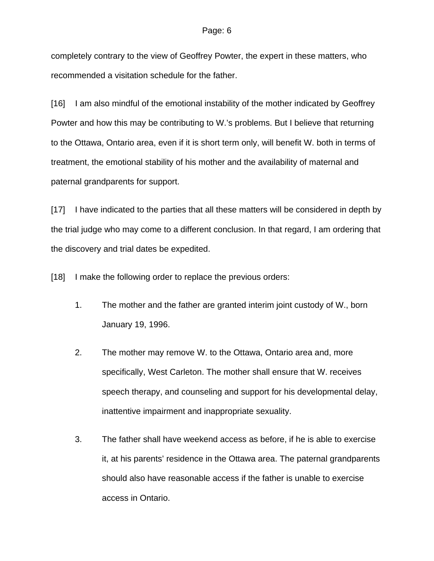completely contrary to the view of Geoffrey Powter, the expert in these matters, who recommended a visitation schedule for the father.

[16] I am also mindful of the emotional instability of the mother indicated by Geoffrey Powter and how this may be contributing to W.'s problems. But I believe that returning to the Ottawa, Ontario area, even if it is short term only, will benefit W. both in terms of treatment, the emotional stability of his mother and the availability of maternal and paternal grandparents for support.

[17] I have indicated to the parties that all these matters will be considered in depth by the trial judge who may come to a different conclusion. In that regard, I am ordering that the discovery and trial dates be expedited.

[18] I make the following order to replace the previous orders:

- 1. The mother and the father are granted interim joint custody of W., born January 19, 1996.
- 2. The mother may remove W. to the Ottawa, Ontario area and, more specifically, West Carleton. The mother shall ensure that W. receives speech therapy, and counseling and support for his developmental delay, inattentive impairment and inappropriate sexuality.
- 3. The father shall have weekend access as before, if he is able to exercise it, at his parents' residence in the Ottawa area. The paternal grandparents should also have reasonable access if the father is unable to exercise access in Ontario.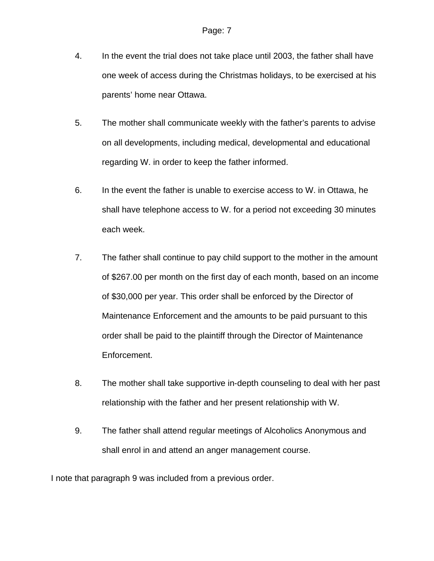- 4. In the event the trial does not take place until 2003, the father shall have one week of access during the Christmas holidays, to be exercised at his parents' home near Ottawa.
- 5. The mother shall communicate weekly with the father's parents to advise on all developments, including medical, developmental and educational regarding W. in order to keep the father informed.
- 6. In the event the father is unable to exercise access to W. in Ottawa, he shall have telephone access to W. for a period not exceeding 30 minutes each week.
- 7. The father shall continue to pay child support to the mother in the amount of \$267.00 per month on the first day of each month, based on an income of \$30,000 per year. This order shall be enforced by the Director of Maintenance Enforcement and the amounts to be paid pursuant to this order shall be paid to the plaintiff through the Director of Maintenance Enforcement.
- 8. The mother shall take supportive in-depth counseling to deal with her past relationship with the father and her present relationship with W.
- 9. The father shall attend regular meetings of Alcoholics Anonymous and shall enrol in and attend an anger management course.

I note that paragraph 9 was included from a previous order.